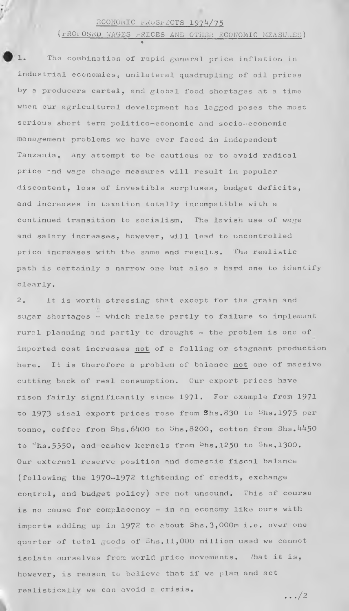## ECONORIC FRUSPECTS 1974/75

*\**

(rROI- **OSED** WAGES rRICES AND OTHER ECONOMIC MEASURES)

**1. The combination of rapid general price inflation in industrial economies, unilateral quadrupling of oil prices by a producers cartel, and global food shortages at a time when our agricultural development has lagged poses the most serious short term politico-economic and socio-economic management problems we have ever faced in independent Tanzania. Any attempt to be cautious or to avoid radical price "nd wage change measures will result in popular discontent, loss of investible surpluses, budget deficits, and increases in taxation totally incompatible with a continued transition to socialism. The lavish use of wage and salary increases, however, will lead to uncontrolled price increases with the same end results. The realistic path is certainly a narrow one but also a hard one to identify clearly.**

**2. It is worth stressing that except for the grain and sugar shortages - which relate partly to failure to implement rural planning and partly to drought - the problem is one of imported cost increases not of a falling or stagnant production here. It is therefore a problem of balance not one of massive cutting back of real consumption. Our export prices have** risen fairly significantly since 1971. For example from 1971 to 1973 sisal export prices rose from Shs.830 to Shs.1975 per **tonne, coffee from Shs.6400 to Shs.8200, cotton from Shs.4450 to Kjhs.5550y and cashew kernels from ^hs.1250 to 3hs.l300. Our external reserve position and domestic fiscal balance (following the 1970-1972 tightening of credit, exchange control, and budget policy) are not unsound. This of course is no cause for complacency - in an economy like ours with** imports adding up in 1972 to about Shs. 3,000m i.e. over one **quarter of total goods of Shs.11,000 million used we cannot isolate ourselves from world price movements. That it is, however, is reason to believe that if we plan and act realisticallv we can avoid a crisis. .../2**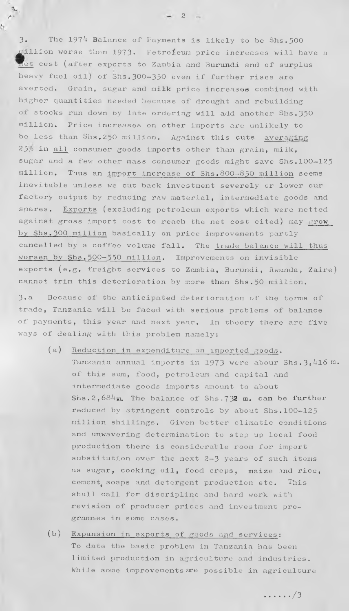3. The 1974 Balance of Fayments is likely to be Shs. 500 **^P-llion worse than 1973\* Petroleum price increases will have a 1 gt cost (alter exports to Zambia and Burundi and of surplus heavy fuel oil^J of 3ns. 300—350 even if further rises are averted. Grain, sugar and milk price increases combined with higher quantities needed because of drought and rebuilding of stocks run down by late ordering will add another Shs.350 million. Price increases on other imports are unlikely to be less than Shs.250 million. Against this cuts averaging 25/i in all consumer goods imports other than grain, milk, sugar and a few other mass consumer goods might save Shs.100—125 million. Thus an import increase of Shs.800-850 million seems inevitable unless we cut back investment severely or lower our factory output by reducing raw material, intermediate goods and spares.** Exp**orts (excluding petroleum exports which were netted** against gross import cost to reach the net cost cited) may grow **by Shs.300 million basically on price improvements partly cancelled by a coffee volume fall. The trade balance will thus worsen by Shs.500— 550 million. Improvements on invisible exports (e.g. freight services to Zambia, Burundi, Rwanda, Zaire)** cannot trim this deterioration by more than Shs.50 million.

**K**

 $\wedge$  2

**3.a Because of the anticipated deterioration of the terms of trade, Tanzania will be faced with serious problems of balance of payments, this year and next year. In theory there are five ways of dealing with this problem namely;**

- (a) Reduction in expenditure on imported  $\beta$  oods.
	- Tanzania annual imports in 1973 were abour Shs. 3, 416 m. **of this sum, food, petroleum and capital and intermediate goods imports amount to about** Shs. 2,  $684$ m. The balance of Shs. 732 m. can be further **reduced by stringent controls by about Shs.100-125 million shillings. Given better climatic conditions and unwavering determination to step up local food production there is considerable room for import substitution over the next 2-3 years of such items as sugar, cooking oil, food crops, maize and rice,** cement, soaps and detergent production etc. This **shall call for discripline and hard work with revision of producer prices and investment programmes in some cases.**
- (b**)** Expansion in exports of goods **and** services; **To date the basic problem in Tanzania has been limited production in agriculture and industries. While some improvements are possible in agriculture**

**/3**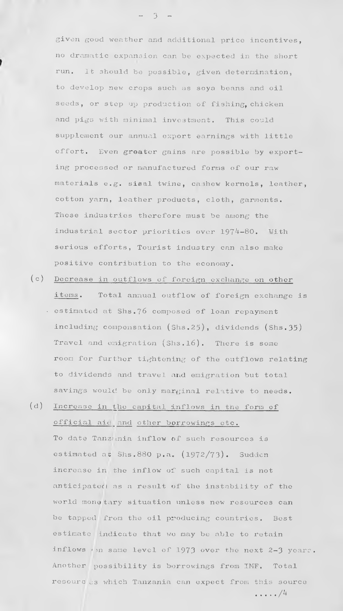**given good weather and additional price incentives, no dramatic expansion can be expected in the short run. It should be possible, given determination, to develop new crops such as soya beans and oil seeds, or step up production of fishing, chicken and pigs with minimal investment. This could supplement our annual export earnings with little effort. Even greater gains are possible by exporting processed or manufactured forms of our raw materials e.g. sisal twine, cashew kernels, leather, cotton yarn, leather products, cloth, garments. These industries therefore must be among the** industrial sector priorities over 1974-80. With **serious efforts, Tourist industry can also make positive contribution to the economy.**

**(c ) Decrease in outflows of foreign exchange on other items. Total annual outflow of foreign exchange is • estimated at Shs.76 composed of loan repayment including compensation (Shs.25), dividends (Shs.35) Travel and emigration (Shs.l6 ). There is some room for further tightening of the outflows relating to dividends and travel and emigration but total savings would, be only marginal relative to needs.**

**(d) Increase in the capital inflows in the form of official aic and other borrowings etc. To date Tanzania inflow of such resources is** estimated at Shs.880 p.a. (1972/73). Sudden increase in the inflow of such capital is not **anticipated as a result of the instability of the world monotary situation unless new resources can be tapped from the oil producing countries. Best estimate indicate that we may be able to retain inflows** *<* **>n same level of .1973 over the next 2-3 years. Another possibility is borrowings from IMF. Total resourc os which Tanzania can expect from this source** ............/ \*

**- 3 -**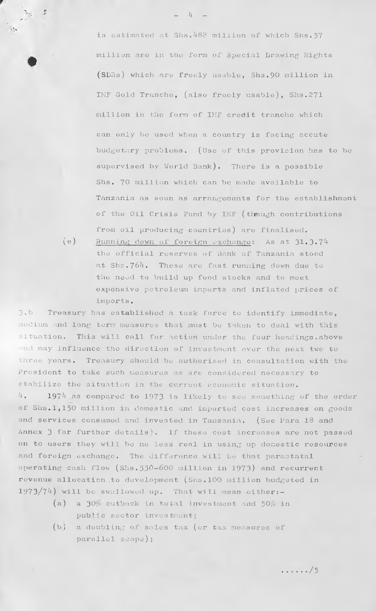is estimated at Shs.488 million of which Shs.57 **million are in the form of Special Drawing Rights (SDRs) which are freely usable, Shs.90 million in IMF Gold Tranche, (also freely usable), Shs.271 million in the form of IMF credit tranche which can only be used when a country is facing accute budgetary problems. (Use of this provision has to be supervised by World Bank). There is a possible Shs. 70 million which can be made available to Tanzania as soon as arrangements for the establishment of the Oil Crisis Fund by IMF (through contributions from oil producing countries) are finalised.**

(e) Running down of foreign exchange: As at 31.3.74 **the official reserves of Bank of Tanzania stood at Shs.764. These are fast running down due to the need to build up food stocks and to meet expensive petroleum imports and inflated prices of imports.**

**3•b Treasury has established a task force to identify immediate, medium and long tern measures that must be taken to deal, with this situation. This will call for action under the four headings.above** Ind may influence the direction of investment over the next two to **three years. Treasury should be authorised in consultation with the President to take such measures as are considered necessary to stabilize the situation in the current economic situation. 4. 1974 as compared to 1973 is likely to see something of the order of Shs.1,150 million in domestic and imported cost increases on goods and services consumed and invested in Tanzania. (See Para 18 and Annex 3 for further details). If these cost increases are not passed on to users they will be no less real in using up domestic resources and foreign exchange. The difference will be that parastatal operating cash flow (Shs.550-600 million in 1973) and recurrent revenue allocation .to development (Shs.100 million budgeted in 1973/74) will bo swallowed up. That will mean either;-**

- $(a)$  a  $30<sub>p</sub>$  cutback in total investment and  $50<sub>p</sub>$  in public sector investment;
- **(b) a doubling of sales tax (or tax measures of parallel scope)?**

**. . . . . .** / 5

**\_ 4 -**

*r*

**>**

**\*%•** *r* **\*sa p\* >**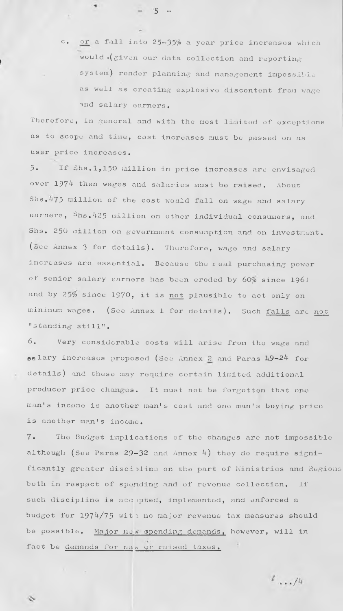**c. or a fall into 25—35\$> a year price increases which would \*(given our data collection and reporting system) render planning and management impossible as well as creating explosive discontent from wage and salary earners.**

**Therefore, in general and with the most limited of exceptions as to scope and time, cost increases must be passed on as user price increases.**

 $5 -$ 

**5. If Shs.1,150 million in price increases are envisaged** over 1974 then wages and salaries must be raised. About **Shs.475 million of the cost would fall on wage and salary earners, Shs.425 million on other individual consumers, and** Shs. 250 million on government consumption and on investment. (See Annex 3 for details). Therefore, wage and salary **increases are essential. Because the real purchasing power of senior salary earners has been eroded by 60^o since 1961 and by 25/» since 1970, it is not plausible to act only on minimum wages. (See Annex 1 for details). Such falls are not "standing still".**

**6 . Very considerable costs will arise from the wage and salary increases proposed (See Annex** *2\_* **and Paras** *\9--2k* **for details) and these ma}' require certain limited additional producer price changes. It must not be forgotten that one** man's income is another man's cost and one man's buying price is another man's income.

**7\* The Budget implications of the changes are not impossible** although (See Paras 29-32 and Annex 4) they do require significantly greater discipline on the part of Ministries and Regions **both in respect of spending and of revenue collection. If such discipline is accepted, implemented, and enforced a budget for 1974/75** with no major revenue tax measures should be possible. Major new spending demands, however, will in fact be demands for naw or raised taxes.

 $\frac{1}{2}$ .../4

Ò,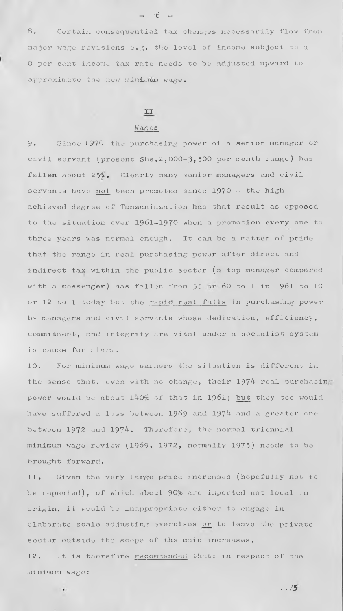**8. Certain consequential tax changes necessarily flow from major wage revisions e.g. the level of income subject to a 0 per cent income tax rate needs to be adjusted upward to approximate the new minimum wage.**

#### **II**

#### **Wages**

**9. Since 1970 the purchasing power of a senior manager or civil servant (present Shs.2,000—3>500 per month range) has** fallen about 25%. Clearly many senior managers and civil **servants have not been promoted since 1970 - the high achieved degree of Tanzaniazation has that result as opposed to the situation over 1961-1970 when a promotion every one to three years was normal enough. It can be a matter of pride that the range in real purchasing power after direct and indirect tax within the public sector (a top manager compared with a messenger) has fallen from 55 60 to 1 in 1961 to 10 or 12 to 1 today but the rapid real fails in purchasing power by managers and civil servants whose dedication, efficiency, commitment, and integrity are vital under a socialist system is cause for alarm.**

**10. For minimum wage earners the situation is different in the sense that, even with no change, their 197^ real purchasin** power would be about  $140\%$  of that in 1961; but they too would have suffered a loss between 1969 and 1974 and a greater one between 1972 and 1974. Therefore, the normal triennial **minimum wage review (1969, 1972, normally 1975) needs to be brought forward.**

11. Given the very large price increases (hopefully not to **be repeated), of which about 90\*^ are imported not local in origin, it wuuld bo inappropriate either to engage in elaborate scale adjusting exercises or to leave the private sector outside the scope of the main increases.**

**12. It is therefore recommended that: in respect of the minimum wage s**

 $\sim$ 

**..** */5*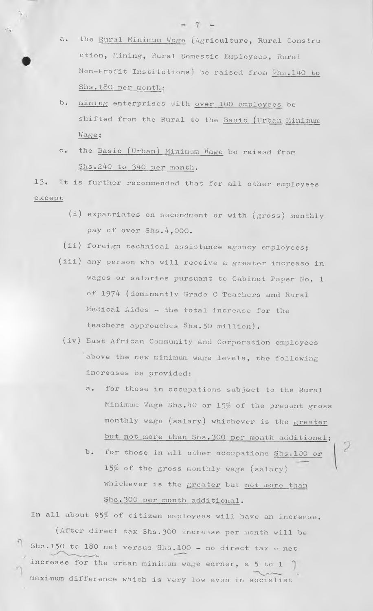- a. the Rural Minimum Wage (Agriculture, Rural Constru **ction, Mining, Rural Domestic Employees, Rural Non-Profit Institutions) be raised from ^hs.140 to Shs.180 per month;**
- **h» mining enterprises with over 100 employees be shifted from the Rural to the Basic (Urban Minimum Wage ;**
- c. the **Basic (Urban) Minimum Wage** be raised from **Shs.240 to 340 per month.**

13. It is further recommended that for all other employees **except**

- **expatriates on secondment or with (gross) monthly (i) pay of over Shs.4,000.**
- **foreign technical assistance agency employees? (ii)**
- **any person who will receive a greater increase in ( iii ) wages or salaries pursuant to Cabinet Paper No. 1 of 1974 (dominantly Grade C Teachers and Rural Medical Aides — the total increase for the teachers approaches Shs. 50 million).**
- (iv) East African Community and Corporation employees **above the new minimum wage levels, the following increases be provided;**
	- **a. for those in occupations subject to the Rural** Minimum Wage Shs. 40 or 15% of the present gross **monthly wage (salary) whichever is the greater** but not more than Shs. 300 per month additional;
	- **b.** for those in all other occupations Shs. 100 or **15\$ of the gross monthly wage (salary) whichever is the greater but not more than Shs.300 per month additional.**

In all about 95% of citizen employees will have an increase. (After direct tax Shs. 300 increase per month will be Shs.150 to 180 net versus Shs.100 - no direct tax - net **increase for the urban minimum wage earner, a 5 to 1 maximum difference which is very low even in socialist**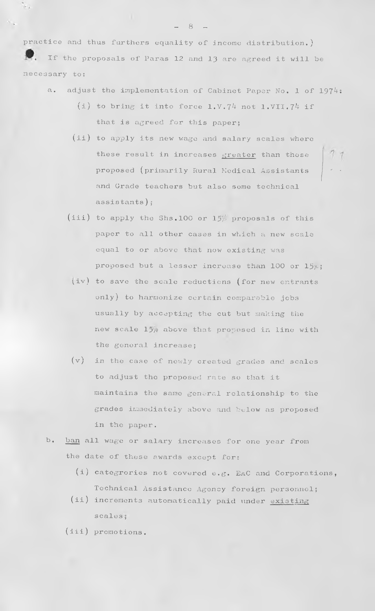**practice and thus farthers equality of income distribution.)** *\** **If the proposals of Paras 12 and 13 are agreed it will be necessary to:**

- **a. adjust the implementation of Cabinet Paper No. 1 of 1974s**
	- **(i) to bring it into force 1.V.74 not 1.VII.74 if that is agreed for this paper;**
	- **(ii) to apply its new wage and salary scales where these result in increases greater than those proposed (primarily Rural Medical Assistants ' • and Grade teachers but also some technical assistants);**
	- (iii) to apply the Shs. 100 or  $15p$ <sup>p</sup> proposals of this paper to all other cases in which a new scale **equal to or above that now existing was proposed but a lesser increase than 100 or 15?- j**
	- **Viv) to save the scale reductions (for new entrants only) to harmonize certain comparable jobs usually by accepting the cut but making the new scale 15/9 above that proposed in line with the general increase;**
	- **(v) in the case of newly created grades and scales to adjust the proposed rate so that it maintains the same general relationship to the grades immediately above and btlow as proposed in the paper.**
- **b. ban all wage or salary increases for one year from the date of these awards except for:**
	- **(i) categror.ies not covered e.g. EAC and Corporations, Technical Assistance Agency foreign personnel?**
	- **(ii) increments automatically paid under existing scales**,
	- **(iii) promotions.**

**- 8 -**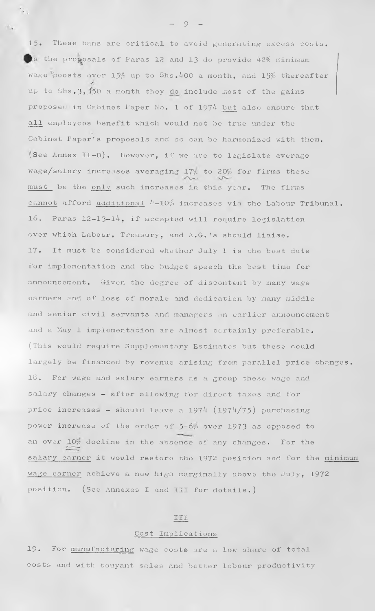**1 5***•* **These bans are critical to avoid generating excess costs. the proposals of Paras 12 and 13 do provide 42% minimum** *1* **wage Roosts over 15f=> up to Shs. ^00 a month, and 15\$> thereafter up to Shs.3»J50 a month they d\_o include most of the gains proposer in Cabinet Paper No. 1 of 197^ but also ensure that all employees benefit which would not be true under the Cabinet Paper's proposals and so can be harmonized with them. ;See Annex II-D). However, if we are to legislate average wage/salary increases averaging 171/- to 20^ for firms these must be the only such increases in this year. The firms cannot afford additional** *k-10'fo* **increases via the Labour Tribunal. 16 . Paras 12-13-14, if accepted will require legislation over which Labour, Treasury, and A.G.'s should liaise. 17. It must be considered whether July 1 is the best date for implementation and the budget speech the best time for announcement. Given the degree of discontent by many wage earners and of loss of morale and dedication by many middle and senior civil servants and managers an earlier announcement and a May 1 implementation are almost certainly preferable. (This would require Supplementary Estimates but these could largely be financed by revenue arising from parallel price changes. 18. For wage and salary earners as a group these wage and salary changes - after allowing for direct taxes and for price increases - should leave a 1974 (1974/75) purchasing power increase cf the order of 5-6a> over 1973 as opposed to** an over  $10\%$  decline in the absence of any changes. For the **salary earner it would restore the 1972 position and for the minimum wage oarner achieve a new high marginally above the July, 1972 position. (See Annexes I and III for details.)**

#### **Ill**

#### **Cost Implications**

**19. For manufacturing wage costs are a low share of total costs and with bouyant sales and better labour productivity**

**- 9 -**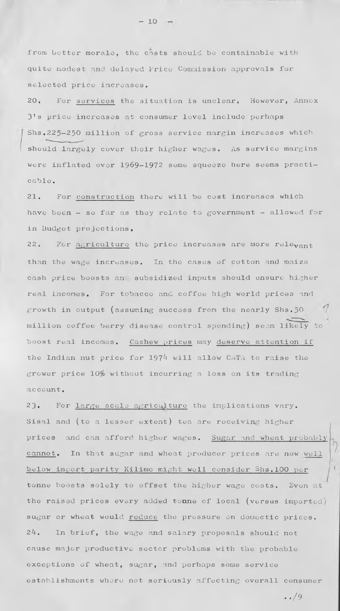from better morale, the costs should be containable with **quite modest and delayed Price Commission approvals for selected price increases.**

**20. For services the situation is unclear. However, Annex 3 1s price increases at consumer level include perhaps Shs,2 2 5—250 million of gross service margin increases which should largely cover their higher wages. As service margins were inflated over 1969-1972 some squeeze here seems practicable ,**

**21. For construction there will be cost increases which have been - so far as they relate to government - allowed for in Budget projections.**

22. For agriculture the price increases are more rele<sub>vant</sub> **than the wage increases. In the cases of cotton and maize** cash price boosts and subsidized inputs should ensure higher real incomes. For tobacco and coffee high world prices and **growth in output (assuming success from the nearly Shs.50 million coffee berry disease control spending) seem likely to boost real incomes. Cashew prices may deserve attention if** the Indian nut price for 1974 will allow CATA to raise the **grower price 10^6 without incurring a loss on its trading a c c o un t .**

**2 3 . For 1arge scale agr1culture the implications vary. Sisal and (to a lesser extent) tea are receiving higher** prices and can afford higher wages. Sugar and wheat probably cannot. In that sugar and wheat producer prices are now well **below import parity Kilimo might well consider Shs.100 per tonne boosts solely to offset the higher wage costs. Even at the raised prices every added tonne of local (versus imported) sugar or wheat would reduce the pressure on domectic prices. 24. In brief, the wage and salary proposals should not cause major productive sector problems with the probable exceptions of wheat, sugar, and perhaps some service establishments where not seriously affecting overall consumer**

**• ./9**

**- 10**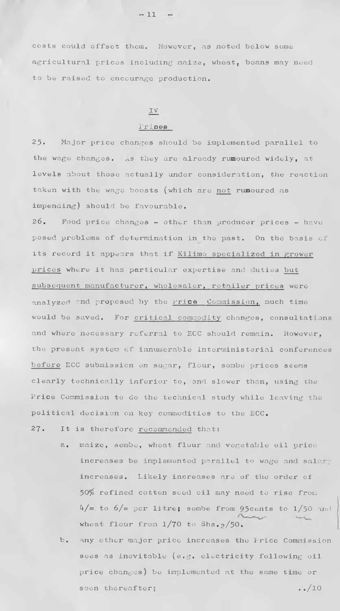costs could offset them. However, as noted below some agricultural prices including maize, wheat, beans may need **to be raised to encourage production.**

#### **IV**

#### **Prioee**

**25. Major price changes should be implemented parallel to the wage changes. As they are already rumoured widely, at levels about those actually under consideration, the reaction taken with the wage boosts (which are not rumoured as impending) should be favourable.**

**26. Food price changes - other than producer prices - have posed problems of determination in the past. On the basis of its record it appears that if Kilimo specialized in grower prices where it has particular expertise and duties but** subsequent manufacturer, wholesaler, retailer prices were **analyzed and proposed by the Price Commission, much time would be saved. For critical commodity changes, consultations and where necessary referral to ECC should remain. However, the present system of innumerable interministerial conferences before ECC submission on sugar, flour, sembe prices seems clearly technically inferior to, and slower than, using the Price Commission to do the technical study while leaving the** political decision on key commodities to the ECC.

**27. It is therefore recommended thats**

- **a, maize, sembe, wheat flour and vegetable oil price increases be implemented parallel to wage and salary** increases. Likely increases are of the order of 50% refined cotton seed oil may need to rise from  $b/4$  to  $6/$ = per litre; sembe from 95 cents to  $1/50$  and **wheat flour from l/70 to Shs.2/5 0 .**
- **b. any other major price increases the Price Commission sees as inevitable (e.g. electricity following oil price changes) be implemented at the same time or** soon thereafter;  $\cdot$  .../10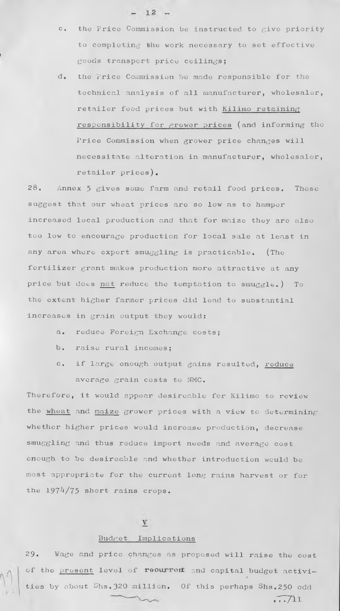**c. the Price Commission be instructed to give priority to completing the work necessary to set effective goods transport price ceilings;**

 $-12 -$ 

**d\* the Price Commission be made responsible for the technical analysis of all manufacturer, wholesaler, retailer food prices but with Kilirno retaining responsibility for grower prices (and informing the Price Commission when grower price changes will necessitate alteration in manufacturer, wholesaler, retailer prices),**

28. Annex 5 gives some farm and retail food prices. These suggest that our wheat prices are so low as to hamper **increased local production and that for maize they are also too low to encourage production for local sale at least in any area where export smuggling is practicable. (The fertilizer grant makes production more attractive at any price but does not reduce the temptation to smuggle.) To the extent higher farmer prices did lead to substantial increases in grain output they would:**

- **a. reduce Foreign Exchange costs 5**
- **b. raise rural incomes;**
- **c. if large enough output gains resulted, reduce average grain costs to NMC,**

**Therefore, it would appear desireable for Kilimo to review the wheat and maize grower prices with a view to determining whether higher prices would increase production, decrease smuggling and thus reduce import needs and average cost enough to be desireable and whether introduction would be most appropriate for the current long rains harvest or for the 1974/75 short rains crops.**

# $\underline{\mathbf{V}}$

#### **Budget Implications**

**2 9 , Wage and price changes as proposed will raise the cost** of the **present** level of reourrent and capital budget activi-*4* **ties by about Shs,320 million. Of this perhaps Shs,250 odd**

 $\sqrt{11}$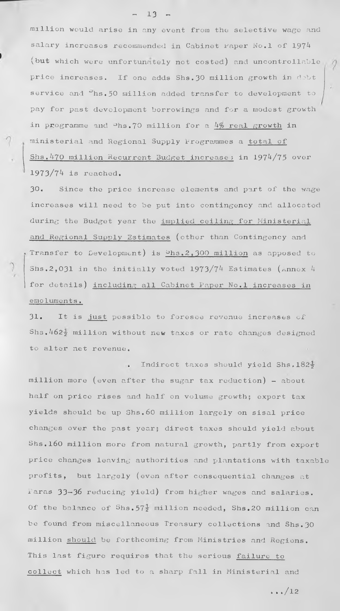**million would arise in any event from the selective wage and salary increases recommended in Cabinet Faper No.l of 1974 (but which were unfortunately not costed) and uncontrollable price increases. If one adds Shs.30 million growth in dobt** service and  $\textdegree$ hs.50 million added transfer to development to pay for past development borrowings and for a modest growth **in programme and ^hs.70 million for a** *k%* **real growth in ministerial and Regional Supply Programmes a total of Shs.470 million Recurrent Budget increase ? in 1974/75 over 1973/74 is reached.**

**30. Since the price increase elements and part of the wage increases will need to be put into contingency and allocated during the Budget year the implied ceiling for Ministerial and Regional Supply Estimates (other than Contingency and \* Transfer to Development) is bh3 t2,300 million as apposed to Shs.2,031 in the initially voted 1973/74 Estimates (Annex 4 for details) including all Cabinet Paper No.l increases in emolumcnts.**

31. It is just possible to foresee revenue increases of **Shs. 462-j million without new taxes or rate changes designed to alter net revenue.**

**Indirect taxes should yield Shs, 182-5 million more (even after the sugar tax reduction) - about half on price rises and half on volume growth; export tax yields should be up Shs. 60 million largely 011 sisal price changes over the past year; direct taxes should yield about Shs.160 million more from natural growth, partly from export price changes leaving authorities and plantations with taxable profits, but largely (even after consequential changes at Paras 33— 36 reducing yield) from higher wages and salaries.** Of the balance of Shs.57<sup>1</sup> million needed, Shs.20 million can be found from miscellaneous Treasury collections and Shs. 30 **million should be forthcoming from Ministries and Regions. This last figure requires that the serious failure to collect which has led to a sharp fall in Ministerial and**

**i.»/l2**

 $- 13 -$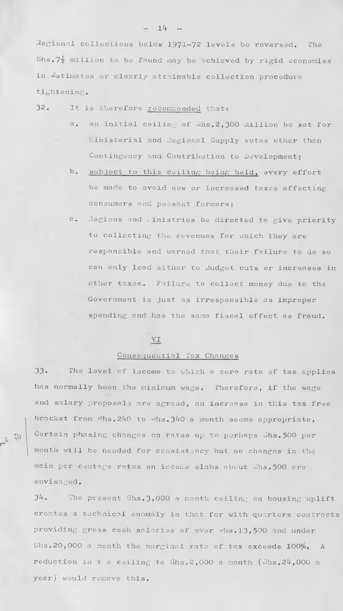Regional collections below 1971— 72 levels be reversed. The Shs.  $7\frac{1}{2}$  million to be found may be achieved by rigid economies in Estimates or clearly attainable collection procedure tightening•

32. It is therefore recommended that *2*

- a. an initial ceiling of  $S$ hs.2,300 million be set for Ministerial and Regional Supply votes other than Contingency and Contribution to Development;
- h. subject to this ceiling being held, every effort be made to avoid new or increased taxes affecting consumers and peasant farmers;
- c. Regions and iinistries be directed to give priority to collecting the revenues for which they are responsible and warned that their failure to do so can only lead either to Budget cuts or increases in other taxes. Failure to collect money due to the Government is just as irresponsible as improper spending and has the same fiscal effect as fraud.

## **VI**

#### Consequential Tax Changes

**33.** The level of income to which a zero rate of tax applies has normally been the minimum wage. Therefore, if the wage and salary proposals are agreed, an increase in this tax free bracket from  $\mathcal{P}_{\text{hs.2}}$ 240 to  $\mathcal{P}_{\text{hs.3}}$ 340 a month seems appropriate. Certain phasing changes on rates up to perhaps Shs. 500 per month will be needed for consistency but no changes in the main per centage rates on income slabs about Jhs.500 are envi saged.

 $34.$  The present Shs. 3,000 a month ceiling on housing uplift creates a technical anomaly in that for with quarters contracts providing gross cash salaries of over  $\nu$ hs.13,500 and under Shs.20,000 a month the marginal rate of tax exceeds 100*%, A* reduction in t e ceiling to  $Shs.2,000$  a month  $(Shs.24,000$  a year) would remove this.

**oV) t-** *VP*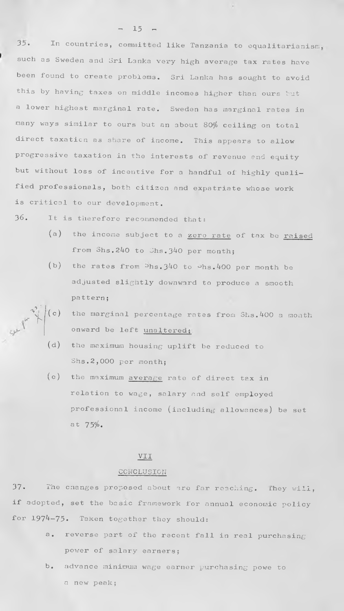**3j. In countries, committed like Tanzania to equalitarianism such as Sweden and Sri Lanka very high average tax rates have been found to create problems. Sri Lanka has sought to avoid this by having taxes on middle incomes higher than ours but a lower highest marginal rate. Sweden has marginal rates in** many ways similar to ours but an about 80% ceiling on total **direct taxation as share of income. This appears to allow progressive taxation in the interests of revenue and equity but without loss of incentive for a handful of highly qualified professionals, both citizen and expatriate whose work is critical to our development.**

**3 6 . It is therefore recommended that?**

- **(a) the income subject to a zero rate of tax be raised from Shs.240 to Shs.3^0 per month;**
- (b) the rates from  $-hs.340$  to  $-hs.400$  per month be **adjusted slightly downward to produce a smooth pa ttern;**
- **-v I \i (c) the marginal percentage rates from Shs.400 a month** *v* **ponward be left unaltered**
	- **(d) the maximum housing uplift be reduced to Shs.2 ,000 per month;**
	- **(e) the maximum average rate of direct tax in relation to wage, salary and self employed professional income (including allowances) be set at 75^.**

#### **VII**

#### **CONCLUSION**

**37. The changes proposed about are far reaching. They will, if adopted, set the basic framework for annual economic policy for 1974-75. Taken together they should;**

- **a. reverse part of the recent fall in real purchasing power of salary earners;**
- **b. advance minimum wage earner purchasing powe to a new peak;**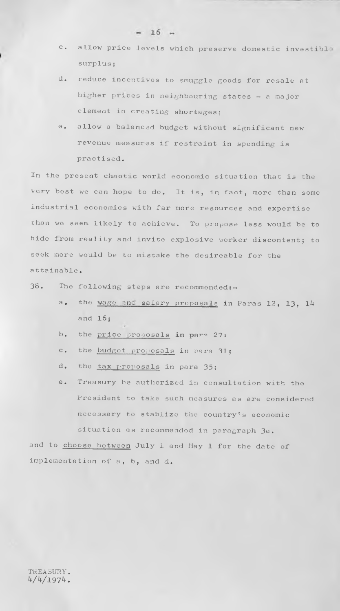- **c. allow price levels which preserve domestic investibl surplus;**
- **d. reduce incentives to smuggle goods for resale at higher prices in neighbouring states - a major element in creating shortages;**
- **e. allow a balanced budget without significant new revenue measures if restraint in spending is practised.**

**In the present chaotic world economic situation that is the very best we can hope to do. It is, in fact, more than some industrial economies with far more resources and expertise chan we seem likely to achieve. To propose less would be to hide from reality and invite explosive worker discontent; to seek more would be to mistake the desireable for the attainable,**

**3 8 . The folio wing steps are recommended:—**

- a. the wage and salary proposals in Paras 12, 13, 14 and  $16$ :
- **b.** the price proposals in para 27:
- c. the **budget proposals** in para 31;
- d. the tax proposals in para 35;
- **e. Treasury be authorized in consultation with the President to take such measures as are considered necessary to stablize the country's economic situation as recommended in paragraph** *3a,*

**and to choose between July 1 and May 1 for the date of implementation of a, b, and d.**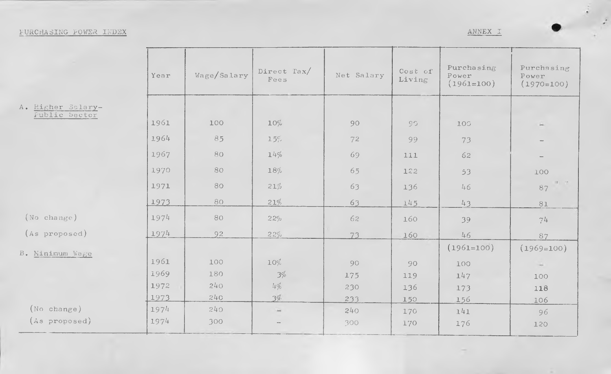# **PURCHASING POWER INDEX ANNEX I**

 $\sim$ 

 $\mathbb{R}^3$ 

|                   | Year | Wage/Salary | Direct Tax/<br>Fees | Net Salary | Cost of<br>Living | Purchasing<br>Power<br>$(1961=100)$ | Purchasing<br>Power<br>$(1970=100)$ |
|-------------------|------|-------------|---------------------|------------|-------------------|-------------------------------------|-------------------------------------|
| A. Higher Salary- |      |             |                     |            |                   |                                     |                                     |
| Fublic Sector     | 1961 | 100         | $10\%$              | 90         | $9^{\circ}$       | 100                                 |                                     |
|                   | 1964 | 85          | 15%                 | 72         | 99                | 73                                  |                                     |
|                   | 1967 | 80          | 14%                 | 69         | 111               | 62                                  |                                     |
|                   | 1970 | 80          | 18%                 | 65         | 122               | 53                                  | 100                                 |
|                   | 1971 | 80          | 21%                 | 63         | 136               | 46                                  | $\Omega_{\rm{c}}=2.0$<br>87         |
|                   | 1973 | 80          | 21%                 | 63         | 145               | 43                                  | $8\,\rm{L}$                         |
| (No change)       | 1974 | 80          | 22%                 | 62         | 160               | 39                                  | 74                                  |
| (As proposed)     | 1974 | 92          | 22%                 | 73         | 160               | 46                                  | 87                                  |
| B. Minimum Wage   |      |             |                     |            |                   | $(1961=100)$                        | $(1969=100)$                        |
|                   | 1961 | 100         | 10%                 | 90         | 90                | 100                                 |                                     |
|                   | 1969 | 180         | 3%                  | 175        | 119               | 147                                 | 100                                 |
|                   | 1972 | 240         | 14%                 | 230        | 136               | 173                                 | 118                                 |
|                   | 1973 | 240         | 3%                  | 233        | 150               | 156                                 | 106                                 |
| (No change)       | 1974 | 240         | ù.                  | 240        | 170               | 141                                 | 96                                  |
| (As proposed)     | 1974 | 300         |                     | 300        | 170               | 176                                 | 120                                 |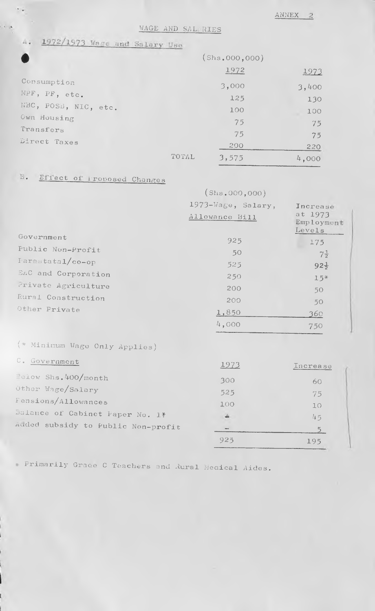**ANNEX**

WAGE AND SAL. RIES<br>4. 1972/1973 Wage and Salary Use

|                      |       | (Shs,000,000) |       |
|----------------------|-------|---------------|-------|
|                      |       | 1972          | 1973  |
| Consumption          |       | 3,000         | 3,400 |
| NPF, PF, etc.        |       | 125           | 130   |
| NBC, POSE, NIC, etc. |       | 100           | 100   |
| Own Housing          |       | 75            | 75    |
| Transfers            |       | 75            | 75    |
| Direct Taxes         |       | 200           | 220   |
|                      | TOTAL | 3,575         | 4,000 |

# **E.** Effect of Proposed Changes

|                                    | (Shs.000, 000)     |                                 |
|------------------------------------|--------------------|---------------------------------|
|                                    | 1973-Wage, Salary, | Increase                        |
|                                    | Allowance Bill     | at 1973<br>Employment<br>Levels |
| Government                         | 925                | 175                             |
| Public Non-Profit                  | 50                 | $7\frac{1}{2}$                  |
| Farastatal/co-op                   | 525                | $92\frac{1}{2}$                 |
| EAC and Corporation                | 250                | $15*$                           |
| Private Agriculture                | 200                | 50                              |
| Rural Construction                 | 200                | 50                              |
| Other Private                      | 1,850              | 360                             |
|                                    | 4,000              | 750                             |
| (* Minimum Wage Cnly Applies)      |                    |                                 |
| C. Government                      | 1973               | Increase                        |
| Pelow Shs. 400/month               | 300                | 60                              |
| Other Wage/Salary                  | 525                | 75                              |
| Fensions/Allowances                | 100                | 10                              |
| Balance of Cabinet Paper No. 1*    | ÷.                 | 45                              |
| Added subsidy to Public Non-profit |                    | 5 <sup>5</sup>                  |
|                                    | 925                | 195                             |

**-x- Primarily Grace C Teachers and Rural Medical Aides.**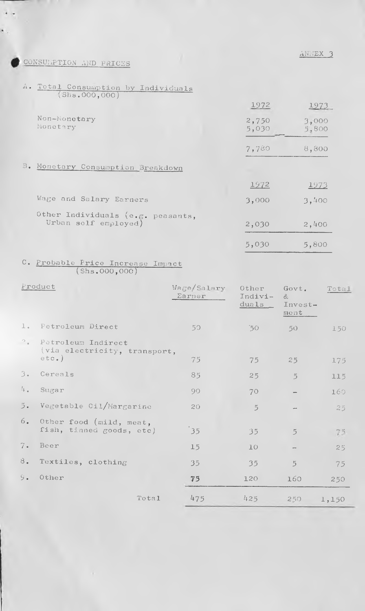**ANNEX 3**

# **CONSUMPTION AND PRICES**

 $\epsilon$  .

 $\epsilon$  .

*A •* Total Consuiuption by Individuals

| (Shs.0000, 000)                                           |                |                |
|-----------------------------------------------------------|----------------|----------------|
|                                                           | 1972           | 1973           |
| Non-Monetary<br>Monetary                                  | 2,750<br>5,030 | 3,000<br>5,800 |
|                                                           | 7,780          | 8,800          |
| B. Monetary Consumption Breakdown                         |                |                |
|                                                           | 1972           | 1973           |
| Wage and Salary Earners                                   | 3,000          | 3,400          |
| Other Individuals (e.g. peasants,<br>Urban self employed) | 2,030          | 2,400          |
|                                                           | 5,030          | 5,800          |

## **C. Probable Price Increase Impact (Shs.000 ,000)**

|                         | Froduct                                                        | Wage/Salary<br>Earner | Other<br>Indivi-<br>duals | Govt.<br>&<br>$Invest-$<br>ment | Total |
|-------------------------|----------------------------------------------------------------|-----------------------|---------------------------|---------------------------------|-------|
| 1.                      | Petroleum Direct                                               | 50                    | $50^{\circ}$              | 50 <sup>°</sup>                 | 150   |
| $\mathcal{P}_{\bullet}$ | Petroleum Indirect<br>(via electricity, transport,<br>$etc.$ ) |                       |                           |                                 |       |
|                         |                                                                | 75                    | 75                        | 25                              | 175   |
| 3.                      | Cereals                                                        | 85                    | 25                        | $\overline{5}$                  | 115   |
| 4.1                     | Sugar                                                          | 90                    | 70                        |                                 | 160   |
| 5.                      | Vegetable Cil/Margarine                                        | 20                    | $\overline{5}$            |                                 | 25    |
| 6.                      | Other food (mild, meat,<br>fish, tinned goods, etc)            | 35                    | 35                        | $\overline{5}$                  | 75    |
| 7.                      | Beer                                                           | 15                    | 10                        |                                 | 25    |
| 8.                      | Textiles, clothing                                             | 35                    | 35                        | $\tilde{5}$                     | 75    |
| 9.                      | Other                                                          | 75                    | 120                       | 160                             | 250   |
|                         | Total                                                          | 475                   | 425                       | 250                             | 1,150 |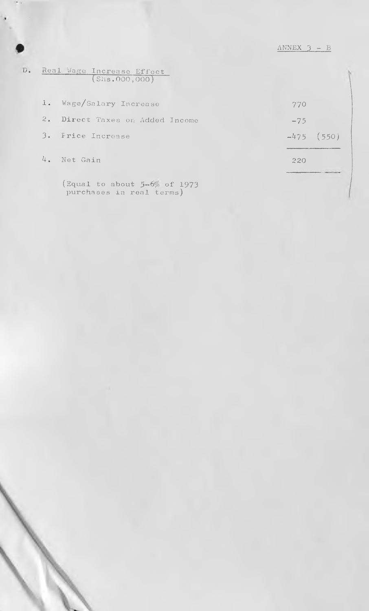| D. Real Wage Increase Effect/ |                |  |
|-------------------------------|----------------|--|
|                               | (Shs.000, 000) |  |

|                | 4. Net Gain                     | 220          |  |
|----------------|---------------------------------|--------------|--|
|                | 3. Frice Increase               | $-475$ (550) |  |
|                | 2. Direct Taxes on Added Income | $-75$        |  |
| $\mathbf{I}$ . | Wage/Salary Increase            | 770          |  |

**(Equal to about 5-6'/0 of 1973 purchases in real terms)**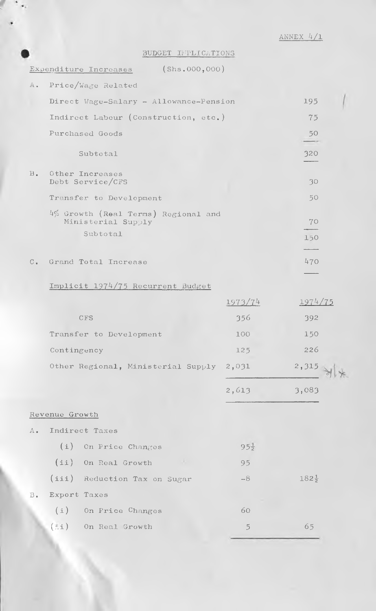**ANNEX 4/l**

BUDGET INPLICATIONS

|                |                | Expenditure Increases (Shs.000,000)                       |                 |                  |  |
|----------------|----------------|-----------------------------------------------------------|-----------------|------------------|--|
| $A$ .          |                | Price/Wage Related                                        |                 |                  |  |
|                |                | Direct Wage-Salary - Allowance-Pension                    |                 | 195              |  |
|                |                | Indirect Labour (Construction, etc.)                      |                 | 75               |  |
|                |                | Purchased Goods                                           |                 | 50               |  |
|                |                | Subtotal                                                  |                 | 320              |  |
| $B_{\bullet}$  |                | Other Increases<br>Debt Service/CFS                       |                 | 30               |  |
|                |                | Transfer to Development                                   |                 | 50               |  |
|                |                | 4% Growth (Real Terms) Regional and<br>Ministerial Supply |                 | 70               |  |
|                |                | Subtotal                                                  |                 | 150              |  |
|                |                |                                                           |                 |                  |  |
| $C_{\bullet}$  |                | Grand Total Increase                                      |                 | 470              |  |
|                |                | Implicit 1974/75 Recurrent Budget                         |                 |                  |  |
|                |                |                                                           | 1973/74         | 1974/75          |  |
|                |                | <b>CFS</b>                                                | 356             | 392              |  |
|                |                | Transfer to Development                                   | 100             | 150              |  |
|                | Contingency    |                                                           | 125             | 226              |  |
|                |                | Other Regional, Ministerial Supply 2,031                  |                 | 2,315            |  |
|                |                |                                                           | 2,613           | 3,083            |  |
|                | Revenue Growth |                                                           |                 |                  |  |
| $A_{\bullet}$  |                | Indirect Taxes                                            |                 |                  |  |
|                | (i)            | On Price Changes                                          | $95\frac{1}{2}$ |                  |  |
|                |                | (ii) On Real Growth<br><b>College</b>                     | 95              |                  |  |
|                |                | (iii) Reduction Tax on Sugar                              | $-8$            | $182\frac{1}{2}$ |  |
| $\mathbf{B}$ . | Export Taxes   |                                                           |                 |                  |  |
|                |                | (i) On Price Changes                                      | 60              |                  |  |
|                | $(\dot{z}i)$   | On Real Growth                                            | $\overline{5}$  | 65               |  |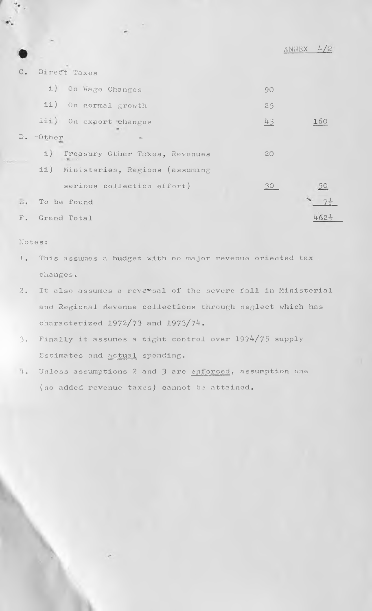|                           |                                    |    | 4/2<br>ANNEX     |
|---------------------------|------------------------------------|----|------------------|
| $C_{\bullet}$             | Direct Taxes                       |    |                  |
|                           | i) On Wage Changes                 | 90 |                  |
|                           | ii) On normal growth               | 25 |                  |
|                           | iii) On export changes             | 45 | 160              |
| $D_{\bullet}$             | $-0$ ther                          |    |                  |
|                           | i) Treasury Cther Taxes, Revenues  | 20 |                  |
|                           | ii) Ministeries, Regions (assuming |    |                  |
|                           | serious collection effort)         | 30 | 50               |
| $\overline{\mathbb{D}}$ . | To be found                        |    |                  |
| $F$ .                     | Grand Total                        |    | $462\frac{1}{2}$ |

#### **Notes:**

- **1 . This assumes a budget with no major revenue oriented tax . changes.**
- **2. It also assumes a reversal of the severe fall in Ministerial and Regional Revenue collections through neglect which has characterized 1972/73 and 1973/7^.**
- 3. Finally it assumes a tight control over 1974/75 supply **Estimates and actual spending.**
- **4. Unless assumptions 2 and 3 are enforced, assumption one (no added revenue taxes) cannot be attained.**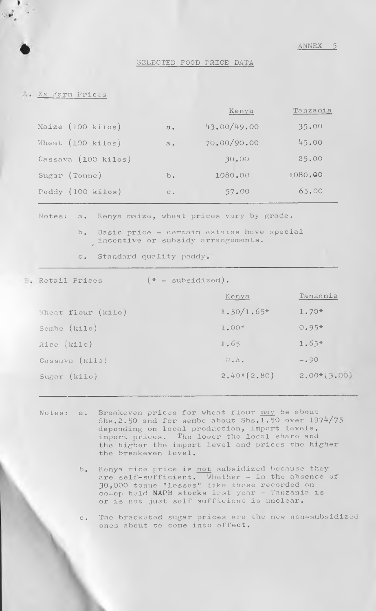**SELECTED FOOD PRICE DATA**

**Ex Farm Prices**

|                             |                | Kenya       | Tanzania |
|-----------------------------|----------------|-------------|----------|
| Maize (100 kilos)           | $\mathbf{B}$ . | 43.00/49.00 | 35.00    |
| Wheat $(100 \text{ kilos})$ | $a_{\bullet}$  | 70.00/90.00 | 45.00    |
| Cassava (100 kilos)         |                | 30.00       | 25.00    |
| Sugar (Toune)               | $b$ .          | 1080.00     | 1080.00  |
| Paddy (100 kilos)           | $C_{\bullet}$  | 57.00       | 65.00    |

**Notes; a. Kenya maize, wheat prices vary by grade •**

**b. Basic price - certain estates have special incentive or** *<sup>0</sup>* **subsidy arrangements.**

**c. Standard quality paddy**

V

**Retail Prices**  $(*$  **- subsidized).** 

|                    | Kenya         | Tanzania     |
|--------------------|---------------|--------------|
| Wheat flour (kilo) | $1.50/1.65*$  | $1.70*$      |
| Sembe (kilo)       | $1.00*$       | $0.95*$      |
| Rice (kilo)        | 1.65          | $1.65*$      |
| Cassava (kilo)     | N.A.          | $-0.90$      |
| Sugar (kilo)       | $2.40*(2.80)$ | $2,00*,3,00$ |

- **Notes; a. Breakeven prices for wheat flour msy be about Shs.2.50 and for sembe about Shs.1.50 over 1974/75 depending on local production, import levels, import prices. The lower the local share and the higher the import level and prices the higher the breakeven level.**
	- **b. Kenya rice price is not subsidized because they are self-sufficient. Whether - in the absence of 30,000 tonne "losses" Like those recorded on co-op held NAPB stocks last year - Tanzania is or is not just self sufficient is unclear.**

**c. The bracketed sugar prices are the new ncn-subsidized ones about to come into effect.**